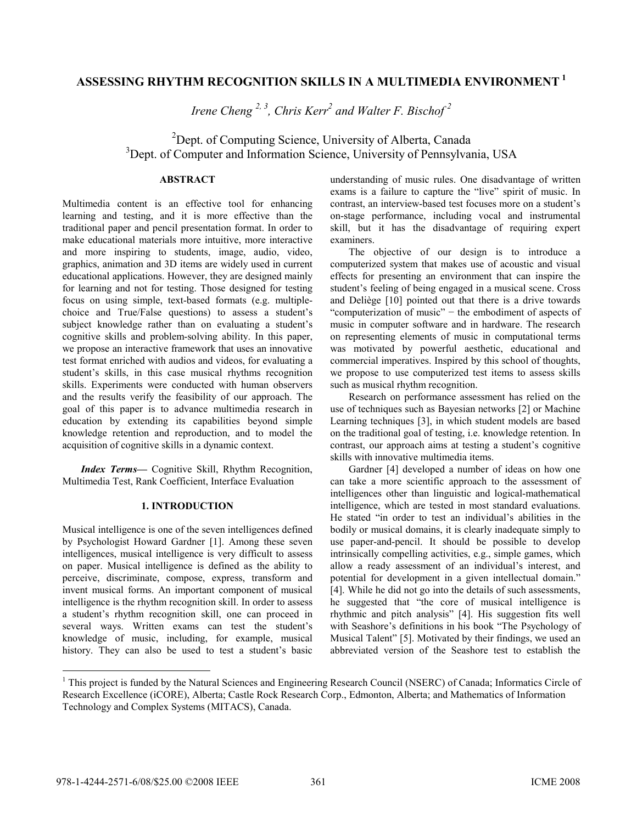# **ASSESSING RHYTHM RECOGNITION SKILLS IN A MULTIMEDIA ENVIRONMENT 1**

*Irene Cheng*<sup>2, 3</sup>, *Chris Kerr*<sup>2</sup> and *Walter F. Bischof*<sup>2</sup>

<sup>2</sup>Dept. of Computing Science, University of Alberta, Canada <sup>3</sup>Dept. of Computer and Information Science, University of Pennsylvania, USA

## **ABSTRACT**

Multimedia content is an effective tool for enhancing learning and testing, and it is more effective than the traditional paper and pencil presentation format. In order to make educational materials more intuitive, more interactive and more inspiring to students, image, audio, video, graphics, animation and 3D items are widely used in current educational applications. However, they are designed mainly for learning and not for testing. Those designed for testing focus on using simple, text-based formats (e.g. multiplechoice and True/False questions) to assess a student's subject knowledge rather than on evaluating a student's cognitive skills and problem-solving ability. In this paper, we propose an interactive framework that uses an innovative test format enriched with audios and videos, for evaluating a student's skills, in this case musical rhythms recognition skills. Experiments were conducted with human observers and the results verify the feasibility of our approach. The goal of this paper is to advance multimedia research in education by extending its capabilities beyond simple knowledge retention and reproduction, and to model the acquisition of cognitive skills in a dynamic context.

*Index Terms—* Cognitive Skill, Rhythm Recognition, Multimedia Test, Rank Coefficient, Interface Evaluation

## **1. INTRODUCTION**

Musical intelligence is one of the seven intelligences defined by Psychologist Howard Gardner [1]. Among these seven intelligences, musical intelligence is very difficult to assess on paper. Musical intelligence is defined as the ability to perceive, discriminate, compose, express, transform and invent musical forms. An important component of musical intelligence is the rhythm recognition skill. In order to assess a student's rhythm recognition skill, one can proceed in several ways. Written exams can test the student's knowledge of music, including, for example, musical history. They can also be used to test a student's basic

understanding of music rules. One disadvantage of written exams is a failure to capture the "live" spirit of music. In contrast, an interview-based test focuses more on a student's on-stage performance, including vocal and instrumental skill, but it has the disadvantage of requiring expert examiners.

The objective of our design is to introduce a computerized system that makes use of acoustic and visual effects for presenting an environment that can inspire the student's feeling of being engaged in a musical scene. Cross and Deliège [10] pointed out that there is a drive towards "computerization of music" − the embodiment of aspects of music in computer software and in hardware. The research on representing elements of music in computational terms was motivated by powerful aesthetic, educational and commercial imperatives. Inspired by this school of thoughts, we propose to use computerized test items to assess skills such as musical rhythm recognition.

Research on performance assessment has relied on the use of techniques such as Bayesian networks [2] or Machine Learning techniques [3], in which student models are based on the traditional goal of testing, i.e. knowledge retention. In contrast, our approach aims at testing a student's cognitive skills with innovative multimedia items.

Gardner [4] developed a number of ideas on how one can take a more scientific approach to the assessment of intelligences other than linguistic and logical-mathematical intelligence, which are tested in most standard evaluations. He stated "in order to test an individual's abilities in the bodily or musical domains, it is clearly inadequate simply to use paper-and-pencil. It should be possible to develop intrinsically compelling activities, e.g., simple games, which allow a ready assessment of an individual's interest, and potential for development in a given intellectual domain." [4]. While he did not go into the details of such assessments, he suggested that "the core of musical intelligence is rhythmic and pitch analysis" [4]. His suggestion fits well with Seashore's definitions in his book "The Psychology of Musical Talent" [5]. Motivated by their findings, we used an abbreviated version of the Seashore test to establish the

1

<sup>&</sup>lt;sup>1</sup> This project is funded by the Natural Sciences and Engineering Research Council (NSERC) of Canada; Informatics Circle of Research Excellence (iCORE), Alberta; Castle Rock Research Corp., Edmonton, Alberta; and Mathematics of Information Technology and Complex Systems (MITACS), Canada.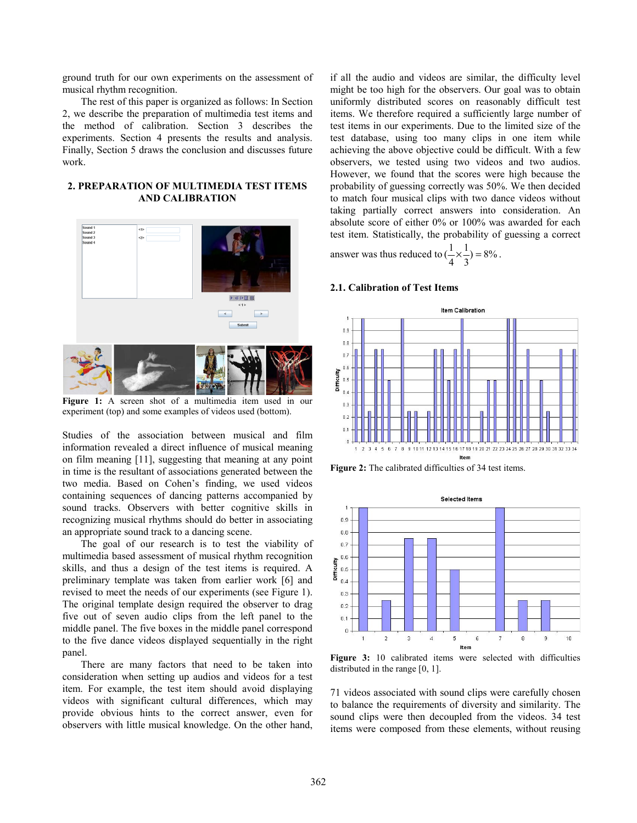ground truth for our own experiments on the assessment of musical rhythm recognition.

The rest of this paper is organized as follows: In Section 2, we describe the preparation of multimedia test items and the method of calibration. Section 3 describes the experiments. Section 4 presents the results and analysis. Finally, Section 5 draws the conclusion and discusses future work.

## **2. PREPARATION OF MULTIMEDIA TEST ITEMS AND CALIBRATION**



Figure 1: A screen shot of a multimedia item used in our experiment (top) and some examples of videos used (bottom).

Studies of the association between musical and film information revealed a direct influence of musical meaning on film meaning [11], suggesting that meaning at any point in time is the resultant of associations generated between the two media. Based on Cohen's finding, we used videos containing sequences of dancing patterns accompanied by sound tracks. Observers with better cognitive skills in recognizing musical rhythms should do better in associating an appropriate sound track to a dancing scene.

The goal of our research is to test the viability of multimedia based assessment of musical rhythm recognition skills, and thus a design of the test items is required. A preliminary template was taken from earlier work [6] and revised to meet the needs of our experiments (see Figure 1). The original template design required the observer to drag five out of seven audio clips from the left panel to the middle panel. The five boxes in the middle panel correspond to the five dance videos displayed sequentially in the right panel.

There are many factors that need to be taken into consideration when setting up audios and videos for a test item. For example, the test item should avoid displaying videos with significant cultural differences, which may provide obvious hints to the correct answer, even for observers with little musical knowledge. On the other hand, if all the audio and videos are similar, the difficulty level might be too high for the observers. Our goal was to obtain uniformly distributed scores on reasonably difficult test items. We therefore required a sufficiently large number of test items in our experiments. Due to the limited size of the test database, using too many clips in one item while achieving the above objective could be difficult. With a few observers, we tested using two videos and two audios. However, we found that the scores were high because the probability of guessing correctly was 50%. We then decided to match four musical clips with two dance videos without taking partially correct answers into consideration. An absolute score of either 0% or 100% was awarded for each test item. Statistically, the probability of guessing a correct 1

answer was thus reduced to  $(\frac{1}{4} \times \frac{1}{3}) = 8\%$ 4  $\left(\frac{1}{2} \times \frac{1}{2}\right) = 8\%$ .

### **2.1. Calibration of Test Items**



**Figure 2:** The calibrated difficulties of 34 test items.



**Figure 3:** 10 calibrated items were selected with difficulties distributed in the range [0, 1].

71 videos associated with sound clips were carefully chosen to balance the requirements of diversity and similarity. The sound clips were then decoupled from the videos. 34 test items were composed from these elements, without reusing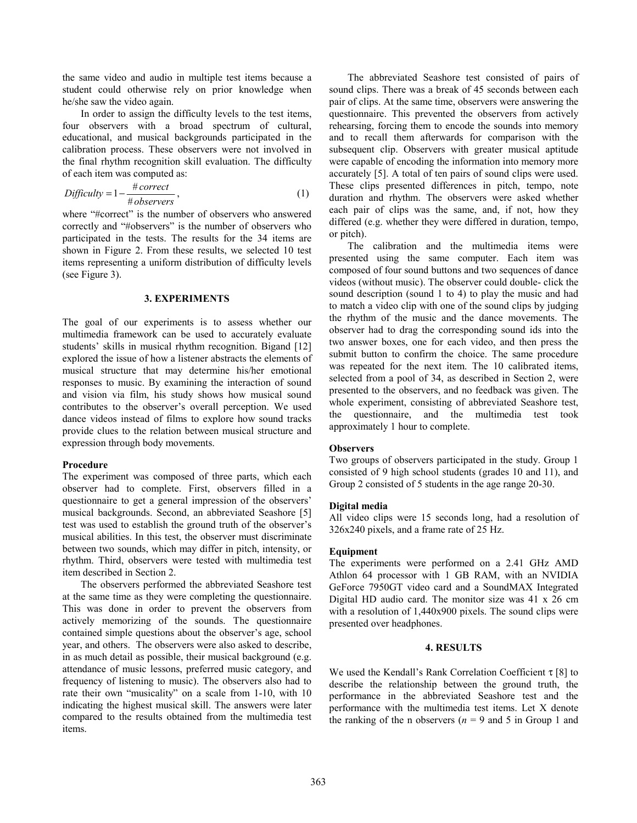the same video and audio in multiple test items because a student could otherwise rely on prior knowledge when he/she saw the video again.

In order to assign the difficulty levels to the test items, four observers with a broad spectrum of cultural, educational, and musical backgrounds participated in the calibration process. These observers were not involved in the final rhythm recognition skill evaluation. The difficulty of each item was computed as:

$$
Diffically = 1 - \frac{\text{\#correct}}{\text{\#}observers},\tag{1}
$$

where "#correct" is the number of observers who answered correctly and "#observers" is the number of observers who participated in the tests. The results for the 34 items are shown in Figure 2. From these results, we selected 10 test items representing a uniform distribution of difficulty levels (see Figure 3).

#### **3. EXPERIMENTS**

The goal of our experiments is to assess whether our multimedia framework can be used to accurately evaluate students' skills in musical rhythm recognition. Bigand [12] explored the issue of how a listener abstracts the elements of musical structure that may determine his/her emotional responses to music. By examining the interaction of sound and vision via film, his study shows how musical sound contributes to the observer's overall perception. We used dance videos instead of films to explore how sound tracks provide clues to the relation between musical structure and expression through body movements.

#### **Procedure**

The experiment was composed of three parts, which each observer had to complete. First, observers filled in a questionnaire to get a general impression of the observers' musical backgrounds. Second, an abbreviated Seashore [5] test was used to establish the ground truth of the observer's musical abilities. In this test, the observer must discriminate between two sounds, which may differ in pitch, intensity, or rhythm. Third, observers were tested with multimedia test item described in Section 2.

The observers performed the abbreviated Seashore test at the same time as they were completing the questionnaire. This was done in order to prevent the observers from actively memorizing of the sounds. The questionnaire contained simple questions about the observer's age, school year, and others. The observers were also asked to describe, in as much detail as possible, their musical background (e.g. attendance of music lessons, preferred music category, and frequency of listening to music). The observers also had to rate their own "musicality" on a scale from 1-10, with 10 indicating the highest musical skill. The answers were later compared to the results obtained from the multimedia test items.

The abbreviated Seashore test consisted of pairs of sound clips. There was a break of 45 seconds between each pair of clips. At the same time, observers were answering the questionnaire. This prevented the observers from actively rehearsing, forcing them to encode the sounds into memory and to recall them afterwards for comparison with the subsequent clip. Observers with greater musical aptitude were capable of encoding the information into memory more accurately [5]. A total of ten pairs of sound clips were used. These clips presented differences in pitch, tempo, note duration and rhythm. The observers were asked whether each pair of clips was the same, and, if not, how they differed (e.g. whether they were differed in duration, tempo, or pitch).

The calibration and the multimedia items were presented using the same computer. Each item was composed of four sound buttons and two sequences of dance videos (without music). The observer could double- click the sound description (sound 1 to 4) to play the music and had to match a video clip with one of the sound clips by judging the rhythm of the music and the dance movements. The observer had to drag the corresponding sound ids into the two answer boxes, one for each video, and then press the submit button to confirm the choice. The same procedure was repeated for the next item. The 10 calibrated items, selected from a pool of 34, as described in Section 2, were presented to the observers, and no feedback was given. The whole experiment, consisting of abbreviated Seashore test, the questionnaire, and the multimedia test took approximately 1 hour to complete.

#### **Observers**

Two groups of observers participated in the study. Group 1 consisted of 9 high school students (grades 10 and 11), and Group 2 consisted of 5 students in the age range 20-30.

#### **Digital media**

All video clips were 15 seconds long, had a resolution of 326x240 pixels, and a frame rate of 25 Hz.

#### **Equipment**

The experiments were performed on a 2.41 GHz AMD Athlon 64 processor with 1 GB RAM, with an NVIDIA GeForce 7950GT video card and a SoundMAX Integrated Digital HD audio card. The monitor size was 41 x 26 cm with a resolution of 1,440x900 pixels. The sound clips were presented over headphones.

#### **4. RESULTS**

We used the Kendall's Rank Correlation Coefficient  $\tau$  [8] to describe the relationship between the ground truth, the performance in the abbreviated Seashore test and the performance with the multimedia test items. Let X denote the ranking of the n observers ( $n = 9$  and 5 in Group 1 and